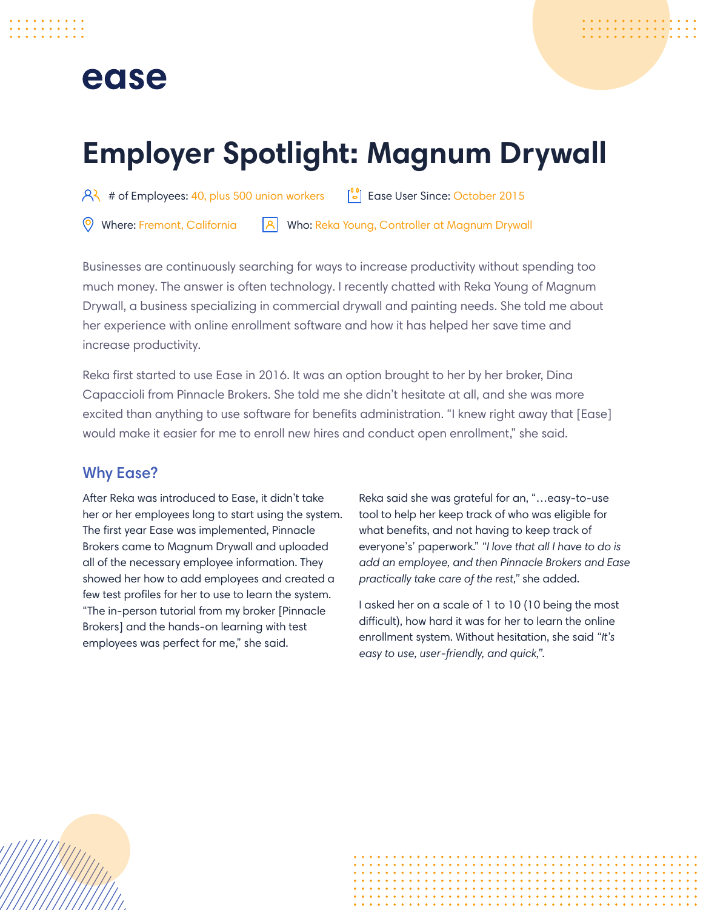## ease

# **Employer Spotlight: Magnum Drywall**

 $\left[\begin{array}{cc} 2 \\ 3 \end{array}\right]$  # of Employees: 40, plus 500 union workers  $\left[\begin{array}{cc} 0 \\ 2 \end{array}\right]$  Ease User Since: October 2015

**A** Who: Reka Young, Controller at Magnum Drywall Where: Fremont, California

Businesses are continuously searching for ways to increase productivity without spending too much money. The answer is often technology. I recently chatted with Reka Young of Magnum Drywall, a business specializing in commercial drywall and painting needs. She told me about her experience with online enrollment software and how it has helped her save time and increase productivity.

Reka first started to use Ease in 2016. It was an option brought to her by her broker, Dina Capaccioli from Pinnacle Brokers. She told me she didn't hesitate at all, and she was more excited than anything to use software for benefits administration. "I knew right away that [Ease] would make it easier for me to enroll new hires and conduct open enrollment," she said.

### Why Ease?

After Reka was introduced to Ease, it didn't take her or her employees long to start using the system. The first year Ease was implemented, Pinnacle Brokers came to Magnum Drywall and uploaded all of the necessary employee information. They showed her how to add employees and created a few test profiles for her to use to learn the system. "The in-person tutorial from my broker [Pinnacle Brokers] and the hands-on learning with test employees was perfect for me," she said.

Reka said she was grateful for an, "…easy-to-use tool to help her keep track of who was eligible for what benefits, and not having to keep track of everyone's' paperwork." *"I love that all I have to do is add an employee, and then Pinnacle Brokers and Ease practically take care of the rest,"* she added.

I asked her on a scale of 1 to 10 (10 being the most difficult), how hard it was for her to learn the online enrollment system. Without hesitation, she said *"It's easy to use, user-friendly, and quick,"*.